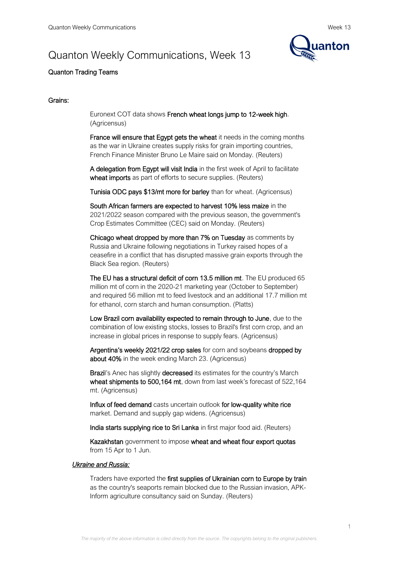# Quanton Weekly Communications, Week 13



# Quanton Trading Teams

### Grains:

Euronext COT data shows French wheat longs jump to 12-week high. (Agricensus)

**France will ensure that Egypt gets the wheat it needs in the coming months** as the war in Ukraine creates supply risks for grain importing countries, French Finance Minister Bruno Le Maire said on Monday. (Reuters)

A delegation from Egypt will visit India in the first week of April to facilitate wheat imports as part of efforts to secure supplies. (Reuters)

Tunisia ODC pays \$13/mt more for barley than for wheat. (Agricensus)

South African farmers are expected to harvest 10% less maize in the 2021/2022 season compared with the previous season, the government's Crop Estimates Committee (CEC) said on Monday. (Reuters)

Chicago wheat dropped by more than 7% on Tuesday as comments by Russia and Ukraine following negotiations in Turkey raised hopes of a ceasefire in a conflict that has disrupted massive grain exports through the Black Sea region. (Reuters)

The EU has a structural deficit of corn 13.5 million mt. The EU produced 65 million mt of corn in the 2020-21 marketing year (October to September) and required 56 million mt to feed livestock and an additional 17.7 million mt for ethanol, corn starch and human consumption. (Platts)

Low Brazil corn availability expected to remain through to June, due to the combination of low existing stocks, losses to Brazil's first corn crop, and an increase in global prices in response to supply fears. (Agricensus)

Argentina's weekly 2021/22 crop sales for corn and soybeans dropped by about 40% in the week ending March 23. (Agricensus)

Brazil's Anec has slightly decreased its estimates for the country's March wheat shipments to 500,164 mt, down from last week's forecast of 522,164 mt. (Agricensus)

Influx of feed demand casts uncertain outlook for low-quality white rice market. Demand and supply gap widens. (Agricensus)

India starts supplying rice to Sri Lanka in first major food aid. (Reuters)

Kazakhstan government to impose wheat and wheat flour export quotas from 15 Apr to 1 Jun.

#### *Ukraine and Russia:*

Traders have exported the first supplies of Ukrainian corn to Europe by train as the country's seaports remain blocked due to the Russian invasion, APK-Inform agriculture consultancy said on Sunday. (Reuters)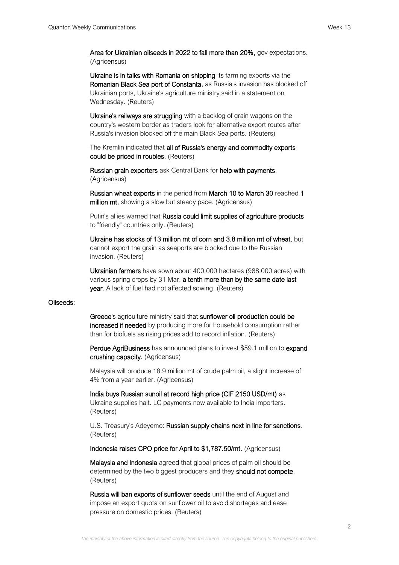Area for Ukrainian oilseeds in 2022 to fall more than 20%, gov expectations. (Agricensus)

Ukraine is in talks with Romania on shipping its farming exports via the Romanian Black Sea port of Constanta, as Russia's invasion has blocked off Ukrainian ports, Ukraine's agriculture ministry said in a statement on Wednesday. (Reuters)

Ukraine's railways are struggling with a backlog of grain wagons on the country's western border as traders look for alternative export routes after Russia's invasion blocked off the main Black Sea ports. (Reuters)

The Kremlin indicated that all of Russia's energy and commodity exports could be priced in roubles. (Reuters)

Russian grain exporters ask Central Bank for help with payments. (Agricensus)

Russian wheat exports in the period from March 10 to March 30 reached 1 million mt, showing a slow but steady pace. (Agricensus)

Putin's allies warned that Russia could limit supplies of agriculture products to "friendly" countries only. (Reuters)

Ukraine has stocks of 13 million mt of соrn and 3.8 million mt of wheat, but cannot export the grain as seaports are blocked due to the Russian invasion. (Reuters)

Ukrainian farmers have sown about 400,000 hectares (988,000 acres) with various spring crops by 31 Mar, a tenth more than by the same date last year. A lack of fuel had not affected sowing. (Reuters)

#### Oilseeds:

Greece's agriculture ministry said that sunflower oil production could be increased if needed by producing more for household consumption rather than for biofuels as rising prices add to record inflation. (Reuters)

Perdue AgriBusiness has announced plans to invest \$59.1 million to expand crushing capacity. (Agricensus)

Malaysia will produce 18.9 million mt of crude palm oil, a slight increase of 4% from a year earlier. (Agricensus)

India buys Russian sunoil at record high price (CIF 2150 USD/mt) as Ukraine supplies halt. LC payments now available to India importers. (Reuters)

U.S. Treasury's Adeyemo: Russian supply chains next in line for sanctions. (Reuters)

Indonesia raises CPO price for April to \$1,787.50/mt. (Agricensus)

Malaysia and Indonesia agreed that global prices of palm oil should be determined by the two biggest producers and they should not compete. (Reuters)

Russia will ban exports of sunflower seeds until the end of August and impose an export quota on sunflower oil to avoid shortages and ease pressure on domestic prices. (Reuters)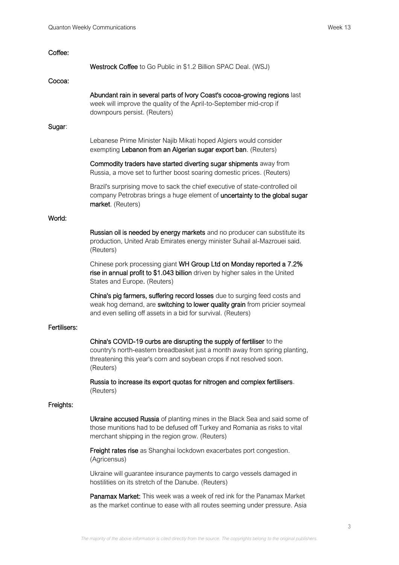| Coffee:      |                                                                                                                                                                                                                                           |
|--------------|-------------------------------------------------------------------------------------------------------------------------------------------------------------------------------------------------------------------------------------------|
|              | Westrock Coffee to Go Public in \$1.2 Billion SPAC Deal. (WSJ)                                                                                                                                                                            |
| Cocoa:       |                                                                                                                                                                                                                                           |
|              | Abundant rain in several parts of Ivory Coast's cocoa-growing regions last<br>week will improve the quality of the April-to-September mid-crop if<br>downpours persist. (Reuters)                                                         |
| Sugar:       |                                                                                                                                                                                                                                           |
|              | Lebanese Prime Minister Najib Mikati hoped Algiers would consider<br>exempting Lebanon from an Algerian sugar export ban. (Reuters)                                                                                                       |
|              | Commodity traders have started diverting sugar shipments away from<br>Russia, a move set to further boost soaring domestic prices. (Reuters)                                                                                              |
|              | Brazil's surprising move to sack the chief executive of state-controlled oil<br>company Petrobras brings a huge element of uncertainty to the global sugar<br>market. (Reuters)                                                           |
| World:       |                                                                                                                                                                                                                                           |
|              | Russian oil is needed by energy markets and no producer can substitute its<br>production, United Arab Emirates energy minister Suhail al-Mazrouei said.<br>(Reuters)                                                                      |
|              | Chinese pork processing giant WH Group Ltd on Monday reported a 7.2%<br>rise in annual profit to \$1.043 billion driven by higher sales in the United<br>States and Europe. (Reuters)                                                     |
|              | China's pig farmers, suffering record losses due to surging feed costs and<br>weak hog demand, are switching to lower quality grain from pricier soymeal<br>and even selling off assets in a bid for survival. (Reuters)                  |
| Fertilisers: |                                                                                                                                                                                                                                           |
|              | China's COVID-19 curbs are disrupting the supply of fertiliser to the<br>country's north-eastern breadbasket just a month away from spring planting,<br>threatening this year's corn and soybean crops if not resolved soon.<br>(Reuters) |
|              | Russia to increase its export quotas for nitrogen and complex fertilisers.<br>(Reuters)                                                                                                                                                   |
| Freights:    |                                                                                                                                                                                                                                           |
|              | <b>Ukraine accused Russia</b> of planting mines in the Black Sea and said some of<br>those munitions had to be defused off Turkey and Romania as risks to vital<br>merchant shipping in the region grow. (Reuters)                        |
|              | Freight rates rise as Shanghai lockdown exacerbates port congestion.<br>(Agricensus)                                                                                                                                                      |
|              | Ukraine will guarantee insurance payments to cargo vessels damaged in<br>hostilities on its stretch of the Danube. (Reuters)                                                                                                              |
|              |                                                                                                                                                                                                                                           |

Panamax Market: This week was a week of red ink for the Panamax Market as the market continue to ease with all routes seeming under pressure. Asia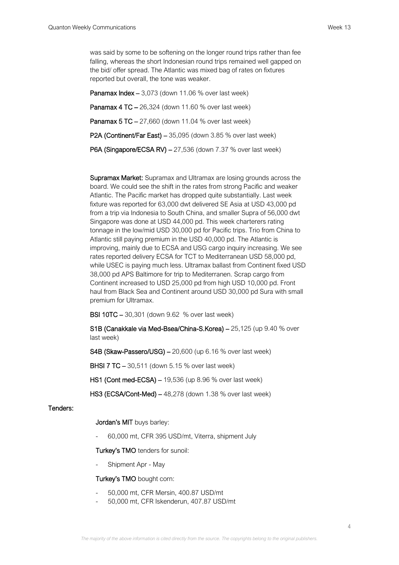was said by some to be softening on the longer round trips rather than fee falling, whereas the short Indonesian round trips remained well gapped on the bid/ offer spread. The Atlantic was mixed bag of rates on fixtures reported but overall, the tone was weaker.

**Panamax Index –** 3,073 (down 11.06 % over last week) Panamax 4 TC – 26,324 (down 11.60 % over last week) Panamax 5 TC – 27,660 (down 11.04 % over last week) P2A (Continent/Far East) – 35,095 (down 3.85 % over last week) P6A (Singapore/ECSA RV) – 27,536 (down 7.37 % over last week)

Supramax Market: Supramax and Ultramax are losing grounds across the board. We could see the shift in the rates from strong Pacific and weaker Atlantic. The Pacific market has dropped quite substantially. Last week fixture was reported for 63,000 dwt delivered SE Asia at USD 43,000 pd from a trip via Indonesia to South China, and smaller Supra of 56,000 dwt Singapore was done at USD 44,000 pd. This week charterers rating tonnage in the low/mid USD 30,000 pd for Pacific trips. Trio from China to Atlantic still paying premium in the USD 40,000 pd. The Atlantic is improving, mainly due to ECSA and USG cargo inquiry increasing. We see rates reported delivery ECSA for TCT to Mediterranean USD 58,000 pd, while USEC is paying much less. Ultramax ballast from Continent fixed USD 38,000 pd APS Baltimore for trip to Mediterranen. Scrap cargo from Continent increased to USD 25,000 pd from high USD 10,000 pd. Front haul from Black Sea and Continent around USD 30,000 pd Sura with small premium for Ultramax.

BSI 10TC – 30,301 (down 9.62 % over last week)

S1B (Canakkale via Med-Bsea/China-S.Korea) – 25,125 (up 9.40 % over last week)

S4B (Skaw-Passero/USG) – 20,600 (up 6.16 % over last week)

BHSI 7 TC – 30,511 (down 5.15 % over last week)

HS1 (Cont med-ECSA) – 19,536 (up 8.96 % over last week)

HS3 (ECSA/Cont-Med) – 48,278 (down 1.38 % over last week)

#### Tenders:

### Jordan's MIT buys barley:

- 60,000 mt, CFR 395 USD/mt, Viterra, shipment July

Turkey's TMO tenders for sunoil:

Shipment Apr - May

#### Turkey's TMO bought corn:

- 50,000 mt, CFR Mersin, 400.87 USD/mt
- 50,000 mt, CFR Iskenderun, 407.87 USD/mt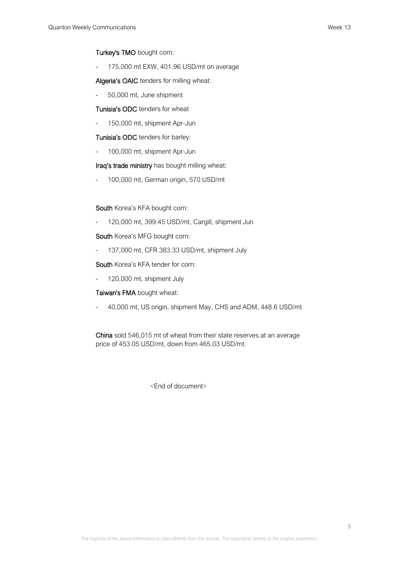# Turkey's TMO bought corn:

- 175,000 mt EXW, 401.96 USD/mt on average

Algeria's OAIC tenders for milling wheat:

- 50,000 mt, June shipment

Tunisia's ODC tenders for wheat

- 150,000 mt, shipment Apr-Jun

## Tunisia's ODC tenders for barley:

- 100,000 mt, shipment Apr-Jun

Iraq's trade ministry has bought milling wheat:

- 100,000 mt, German origin, 570 USD/mt

# South Korea's KFA bought corn:

- 120,000 mt, 399.45 USD/mt, Cargill, shipment Jun

South Korea's MFG bought corn:

- 137,000 mt, CFR 383.33 USD/mt, shipment July

South Korea's KFA tender for corn:

- 120,000 mt, shipment July

# Taiwan's FMA bought wheat:

- 40,000 mt, US origin, shipment May, CHS and ADM, 448.6 USD/mt

China sold 546,015 mt of wheat from their state reserves at an average price of 453.05 USD/mt, down from 465.03 USD/mt.

<End of document>